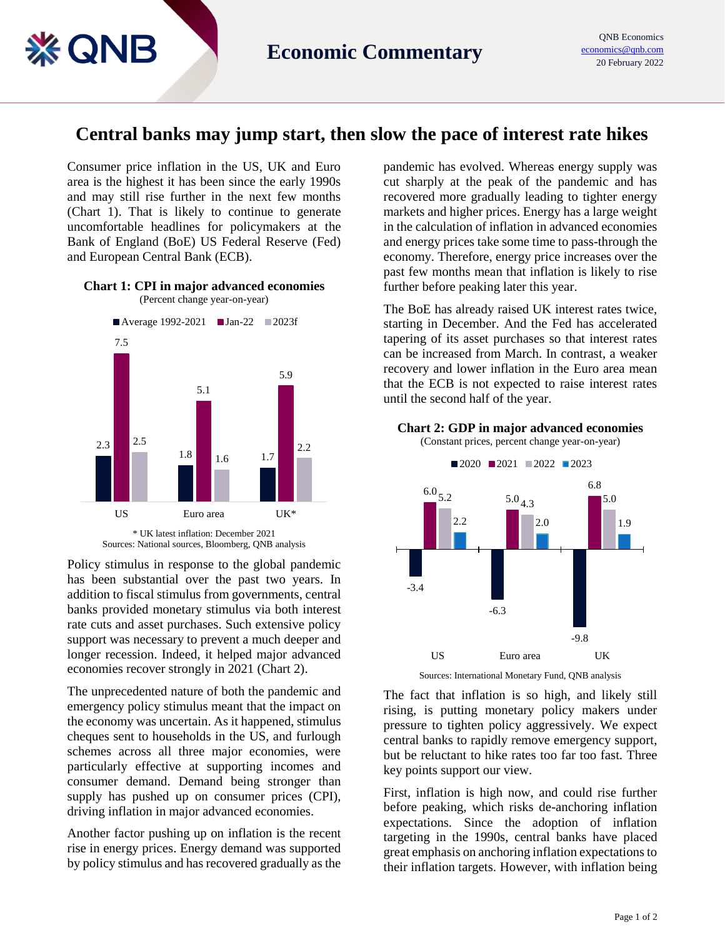## **Central banks may jump start, then slow the pace of interest rate hikes**

Consumer price inflation in the US, UK and Euro area is the highest it has been since the early 1990s and may still rise further in the next few months (Chart 1). That is likely to continue to generate uncomfortable headlines for policymakers at the Bank of England (BoE) US Federal Reserve (Fed) and European Central Bank (ECB).

**EQNB** 

## **Chart 1: CPI in major advanced economies**





Policy stimulus in response to the global pandemic has been substantial over the past two years. In addition to fiscal stimulus from governments, central banks provided monetary stimulus via both interest rate cuts and asset purchases. Such extensive policy support was necessary to prevent a much deeper and longer recession. Indeed, it helped major advanced economies recover strongly in 2021 (Chart 2).

The unprecedented nature of both the pandemic and emergency policy stimulus meant that the impact on the economy was uncertain. As it happened, stimulus cheques sent to households in the US, and furlough schemes across all three major economies, were particularly effective at supporting incomes and consumer demand. Demand being stronger than supply has pushed up on consumer prices (CPI), driving inflation in major advanced economies.

Another factor pushing up on inflation is the recent rise in energy prices. Energy demand was supported by policy stimulus and has recovered gradually as the

pandemic has evolved. Whereas energy supply was cut sharply at the peak of the pandemic and has recovered more gradually leading to tighter energy markets and higher prices. Energy has a large weight in the calculation of inflation in advanced economies and energy prices take some time to pass-through the economy. Therefore, energy price increases over the past few months mean that inflation is likely to rise further before peaking later this year.

The BoE has already raised UK interest rates twice, starting in December. And the Fed has accelerated tapering of its asset purchases so that interest rates can be increased from March. In contrast, a weaker recovery and lower inflation in the Euro area mean that the ECB is not expected to raise interest rates until the second half of the year.

**Chart 2: GDP in major advanced economies**



Sources: International Monetary Fund, QNB analysis

The fact that inflation is so high, and likely still rising, is putting monetary policy makers under pressure to tighten policy aggressively. We expect central banks to rapidly remove emergency support, but be reluctant to hike rates too far too fast. Three key points support our view.

First, inflation is high now, and could rise further before peaking, which risks de-anchoring inflation expectations. Since the adoption of inflation targeting in the 1990s, central banks have placed great emphasis on anchoring inflation expectations to their inflation targets. However, with inflation being